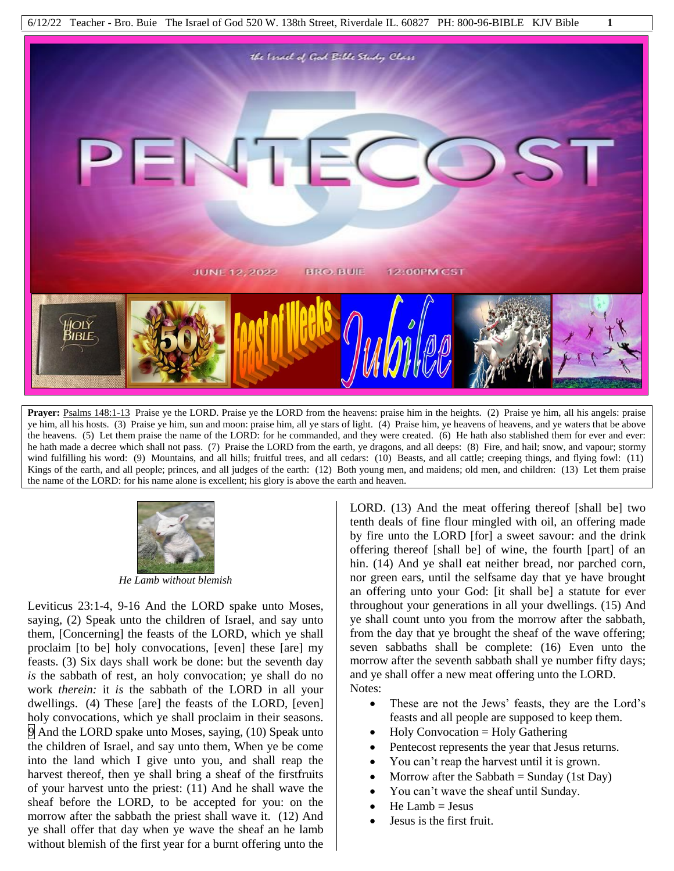

**Prayer:** Psalms 148:1-13 Praise ye the LORD. Praise ye the LORD from the heavens: praise him in the heights. (2) Praise ye him, all his angels: praise ye him, all his hosts. (3) Praise ye him, sun and moon: praise him, all ye stars of light. (4) Praise him, ye heavens of heavens, and ye waters that be above the heavens. (5) Let them praise the name of the LORD: for he commanded, and they were created. (6) He hath also stablished them for ever and ever: he hath made a decree which shall not pass. (7) Praise the LORD from the earth, ye dragons, and all deeps: (8) Fire, and hail; snow, and vapour; stormy wind fulfilling his word: (9) Mountains, and all hills; fruitful trees, and all cedars: (10) Beasts, and all cattle; creeping things, and flying fowl: (11) Kings of the earth, and all people; princes, and all judges of the earth: (12) Both young men, and maidens; old men, and children: (13) Let them praise the name of the LORD: for his name alone is excellent; his glory is above the earth and heaven.



*He Lamb without blemish*

Leviticus 23:1-4, 9-16 And the LORD spake unto Moses, saying, (2) Speak unto the children of Israel, and say unto them, [Concerning] the feasts of the LORD, which ye shall proclaim [to be] holy convocations, [even] these [are] my feasts. (3) Six days shall work be done: but the seventh day *is* the sabbath of rest, an holy convocation; ye shall do no work *therein:* it *is* the sabbath of the LORD in all your dwellings. (4) These [are] the feasts of the LORD, [even] holy convocations, which ye shall proclaim in their seasons. 9 And the LORD spake unto Moses, saying, (10) Speak unto the children of Israel, and say unto them, When ye be come into the land which I give unto you, and shall reap the harvest thereof, then ye shall bring a sheaf of the firstfruits of your harvest unto the priest: (11) And he shall wave the sheaf before the LORD, to be accepted for you: on the morrow after the sabbath the priest shall wave it. (12) And ye shall offer that day when ye wave the sheaf an he lamb without blemish of the first year for a burnt offering unto the

LORD. (13) And the meat offering thereof [shall be] two tenth deals of fine flour mingled with oil, an offering made by fire unto the LORD [for] a sweet savour: and the drink offering thereof [shall be] of wine, the fourth [part] of an hin. (14) And ye shall eat neither bread, nor parched corn, nor green ears, until the selfsame day that ye have brought an offering unto your God: [it shall be] a statute for ever throughout your generations in all your dwellings. (15) And ye shall count unto you from the morrow after the sabbath, from the day that ye brought the sheaf of the wave offering; seven sabbaths shall be complete: (16) Even unto the morrow after the seventh sabbath shall ye number fifty days; and ye shall offer a new meat offering unto the LORD. Notes:

- These are not the Jews' feasts, they are the Lord's feasts and all people are supposed to keep them.
- Holy Convocation = Holy Gathering
- Pentecost represents the year that Jesus returns.
- You can't reap the harvest until it is grown.
- Morrow after the Sabbath  $=$  Sunday (1st Day)
- You can't wave the sheaf until Sunday.
- $He$  Lamb = Jesus
- Jesus is the first fruit.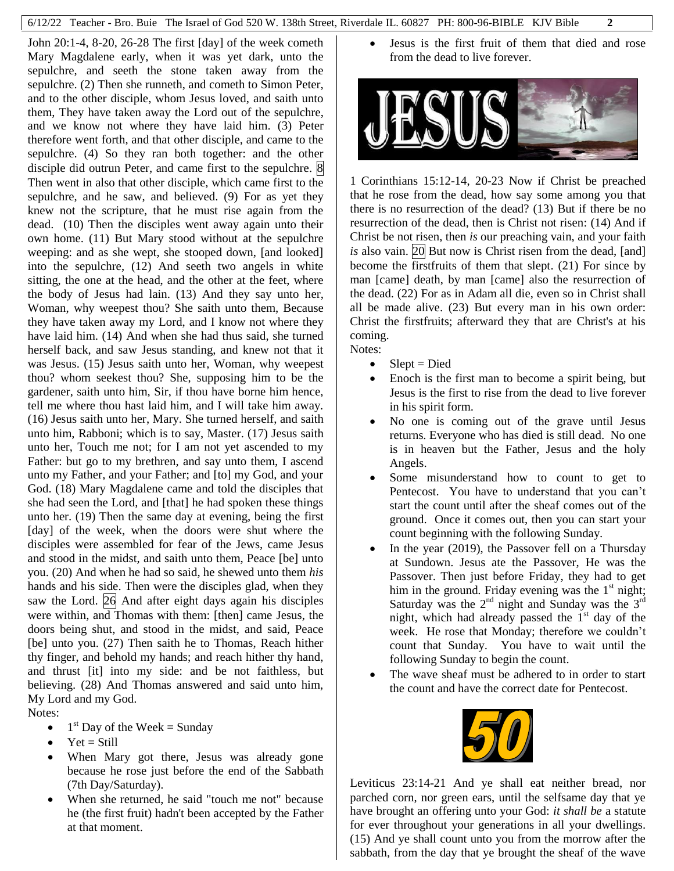John 20:1-4, 8-20, 26-28 The first [day] of the week cometh Mary Magdalene early, when it was yet dark, unto the sepulchre, and seeth the stone taken away from the sepulchre. (2) Then she runneth, and cometh to Simon Peter, and to the other disciple, whom Jesus loved, and saith unto them, They have taken away the Lord out of the sepulchre, and we know not where they have laid him. (3) Peter therefore went forth, and that other disciple, and came to the sepulchre. (4) So they ran both together: and the other disciple did outrun Peter, and came first to the sepulchre.  $\otimes$ Then went in also that other disciple, which came first to the sepulchre, and he saw, and believed. (9) For as yet they knew not the scripture, that he must rise again from the dead. (10) Then the disciples went away again unto their own home. (11) But Mary stood without at the sepulchre weeping: and as she wept, she stooped down, [and looked] into the sepulchre, (12) And seeth two angels in white sitting, the one at the head, and the other at the feet, where the body of Jesus had lain. (13) And they say unto her, Woman, why weepest thou? She saith unto them, Because they have taken away my Lord, and I know not where they have laid him. (14) And when she had thus said, she turned herself back, and saw Jesus standing, and knew not that it was Jesus. (15) Jesus saith unto her, Woman, why weepest thou? whom seekest thou? She, supposing him to be the gardener, saith unto him, Sir, if thou have borne him hence, tell me where thou hast laid him, and I will take him away. (16) Jesus saith unto her, Mary. She turned herself, and saith unto him, Rabboni; which is to say, Master. (17) Jesus saith unto her, Touch me not; for I am not yet ascended to my Father: but go to my brethren, and say unto them, I ascend unto my Father, and your Father; and [to] my God, and your God. (18) Mary Magdalene came and told the disciples that she had seen the Lord, and [that] he had spoken these things unto her. (19) Then the same day at evening, being the first [day] of the week, when the doors were shut where the disciples were assembled for fear of the Jews, came Jesus and stood in the midst, and saith unto them, Peace [be] unto you. (20) And when he had so said, he shewed unto them *his* hands and his side. Then were the disciples glad, when they saw the Lord. 26 And after eight days again his disciples were within, and Thomas with them: [then] came Jesus, the doors being shut, and stood in the midst, and said, Peace [be] unto you. (27) Then saith he to Thomas, Reach hither thy finger, and behold my hands; and reach hither thy hand, and thrust [it] into my side: and be not faithless, but believing. (28) And Thomas answered and said unto him, My Lord and my God.

Notes:

- $\bullet$  1<sup>st</sup> Day of the Week = Sunday
- $\bullet$  Yet = Still
- When Mary got there, Jesus was already gone because he rose just before the end of the Sabbath (7th Day/Saturday).
- When she returned, he said "touch me not" because he (the first fruit) hadn't been accepted by the Father at that moment.

 Jesus is the first fruit of them that died and rose from the dead to live forever.



1 Corinthians 15:12-14, 20-23 Now if Christ be preached that he rose from the dead, how say some among you that there is no resurrection of the dead? (13) But if there be no resurrection of the dead, then is Christ not risen: (14) And if Christ be not risen, then *is* our preaching vain, and your faith *is* also vain. 20 But now is Christ risen from the dead, [and] become the firstfruits of them that slept. (21) For since by man [came] death, by man [came] also the resurrection of the dead. (22) For as in Adam all die, even so in Christ shall all be made alive. (23) But every man in his own order: Christ the firstfruits; afterward they that are Christ's at his coming.

Notes:

- $\bullet$  Slept = Died
- Enoch is the first man to become a spirit being, but Jesus is the first to rise from the dead to live forever in his spirit form.
- No one is coming out of the grave until Jesus returns. Everyone who has died is still dead. No one is in heaven but the Father, Jesus and the holy Angels.
- Some misunderstand how to count to get to Pentecost. You have to understand that you can't start the count until after the sheaf comes out of the ground. Once it comes out, then you can start your count beginning with the following Sunday.
- In the year (2019), the Passover fell on a Thursday at Sundown. Jesus ate the Passover, He was the Passover. Then just before Friday, they had to get him in the ground. Friday evening was the  $1<sup>st</sup>$  night; Saturday was the  $2<sup>nd</sup>$  night and Sunday was the  $3<sup>rd</sup>$ night, which had already passed the  $1<sup>st</sup>$  day of the week. He rose that Monday; therefore we couldn't count that Sunday. You have to wait until the following Sunday to begin the count.
- The wave sheaf must be adhered to in order to start the count and have the correct date for Pentecost.



Leviticus 23:14-21 And ye shall eat neither bread, nor parched corn, nor green ears, until the selfsame day that ye have brought an offering unto your God: *it shall be* a statute for ever throughout your generations in all your dwellings. (15) And ye shall count unto you from the morrow after the sabbath, from the day that ye brought the sheaf of the wave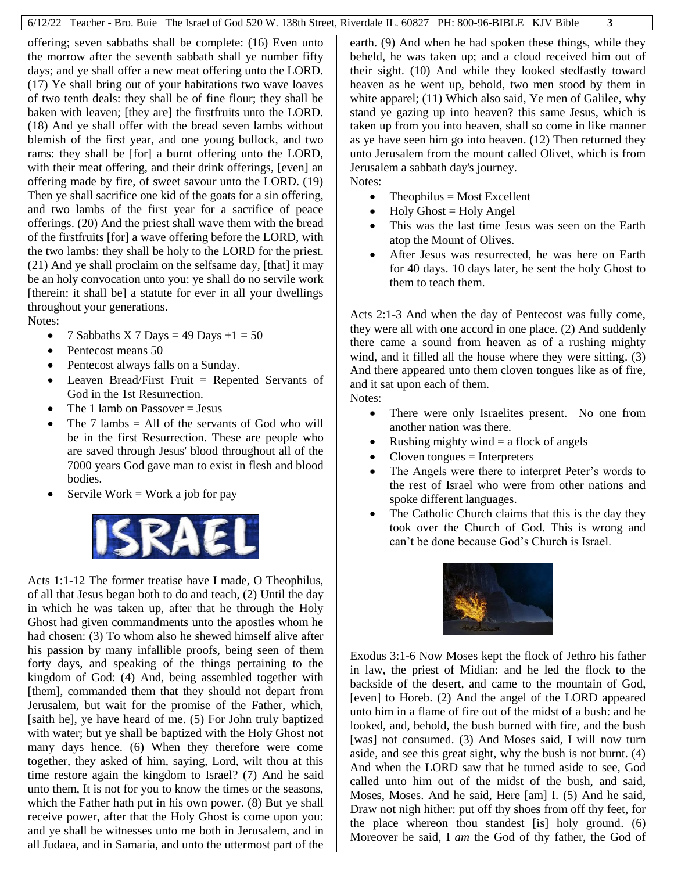offering; seven sabbaths shall be complete: (16) Even unto the morrow after the seventh sabbath shall ye number fifty days; and ye shall offer a new meat offering unto the LORD. (17) Ye shall bring out of your habitations two wave loaves of two tenth deals: they shall be of fine flour; they shall be baken with leaven; [they are] the firstfruits unto the LORD. (18) And ye shall offer with the bread seven lambs without blemish of the first year, and one young bullock, and two rams: they shall be [for] a burnt offering unto the LORD, with their meat offering, and their drink offerings, [even] an offering made by fire, of sweet savour unto the LORD. (19) Then ye shall sacrifice one kid of the goats for a sin offering, and two lambs of the first year for a sacrifice of peace offerings. (20) And the priest shall wave them with the bread of the firstfruits [for] a wave offering before the LORD, with the two lambs: they shall be holy to the LORD for the priest. (21) And ye shall proclaim on the selfsame day, [that] it may be an holy convocation unto you: ye shall do no servile work [therein: it shall be] a statute for ever in all your dwellings throughout your generations. Notes:

- 7 Sabbaths X 7 Days = 49 Days  $+1 = 50$
- Pentecost means 50
- Pentecost always falls on a Sunday.
- Leaven Bread/First Fruit = Repented Servants of God in the 1st Resurrection.
- $\bullet$  The 1 lamb on Passover = Jesus
- The 7 lambs  $=$  All of the servants of God who will be in the first Resurrection. These are people who are saved through Jesus' blood throughout all of the 7000 years God gave man to exist in flesh and blood bodies.
- Servile Work  $=$  Work a job for pay



Acts 1:1-12 The former treatise have I made, O Theophilus, of all that Jesus began both to do and teach, (2) Until the day in which he was taken up, after that he through the Holy Ghost had given commandments unto the apostles whom he had chosen: (3) To whom also he shewed himself alive after his passion by many infallible proofs, being seen of them forty days, and speaking of the things pertaining to the kingdom of God: (4) And, being assembled together with [them], commanded them that they should not depart from Jerusalem, but wait for the promise of the Father, which, [saith he], ye have heard of me. (5) For John truly baptized with water; but ye shall be baptized with the Holy Ghost not many days hence. (6) When they therefore were come together, they asked of him, saying, Lord, wilt thou at this time restore again the kingdom to Israel? (7) And he said unto them, It is not for you to know the times or the seasons, which the Father hath put in his own power. (8) But ye shall receive power, after that the Holy Ghost is come upon you: and ye shall be witnesses unto me both in Jerusalem, and in all Judaea, and in Samaria, and unto the uttermost part of the earth. (9) And when he had spoken these things, while they beheld, he was taken up; and a cloud received him out of their sight. (10) And while they looked stedfastly toward heaven as he went up, behold, two men stood by them in white apparel; (11) Which also said, Ye men of Galilee, why stand ye gazing up into heaven? this same Jesus, which is taken up from you into heaven, shall so come in like manner as ye have seen him go into heaven. (12) Then returned they unto Jerusalem from the mount called Olivet, which is from Jerusalem a sabbath day's journey. Notes:

- $\bullet$  Theophilus = Most Excellent
- $\bullet$  Holy Ghost = Holy Angel
- This was the last time Jesus was seen on the Earth atop the Mount of Olives.
- After Jesus was resurrected, he was here on Earth for 40 days. 10 days later, he sent the holy Ghost to them to teach them.

Acts 2:1-3 And when the day of Pentecost was fully come, they were all with one accord in one place. (2) And suddenly there came a sound from heaven as of a rushing mighty wind, and it filled all the house where they were sitting. (3) And there appeared unto them cloven tongues like as of fire, and it sat upon each of them. Notes:

- There were only Israelites present. No one from another nation was there.
- Rushing mighty wind  $=$  a flock of angels
- Cloven tongues = Interpreters
- The Angels were there to interpret Peter's words to the rest of Israel who were from other nations and spoke different languages.
- The Catholic Church claims that this is the day they took over the Church of God. This is wrong and can't be done because God's Church is Israel.



Exodus 3:1-6 Now Moses kept the flock of Jethro his father in law, the priest of Midian: and he led the flock to the backside of the desert, and came to the mountain of God, [even] to Horeb. (2) And the angel of the LORD appeared unto him in a flame of fire out of the midst of a bush: and he looked, and, behold, the bush burned with fire, and the bush [was] not consumed. (3) And Moses said, I will now turn aside, and see this great sight, why the bush is not burnt. (4) And when the LORD saw that he turned aside to see, God called unto him out of the midst of the bush, and said, Moses, Moses. And he said, Here [am] I. (5) And he said, Draw not nigh hither: put off thy shoes from off thy feet, for the place whereon thou standest [is] holy ground. (6) Moreover he said, I *am* the God of thy father, the God of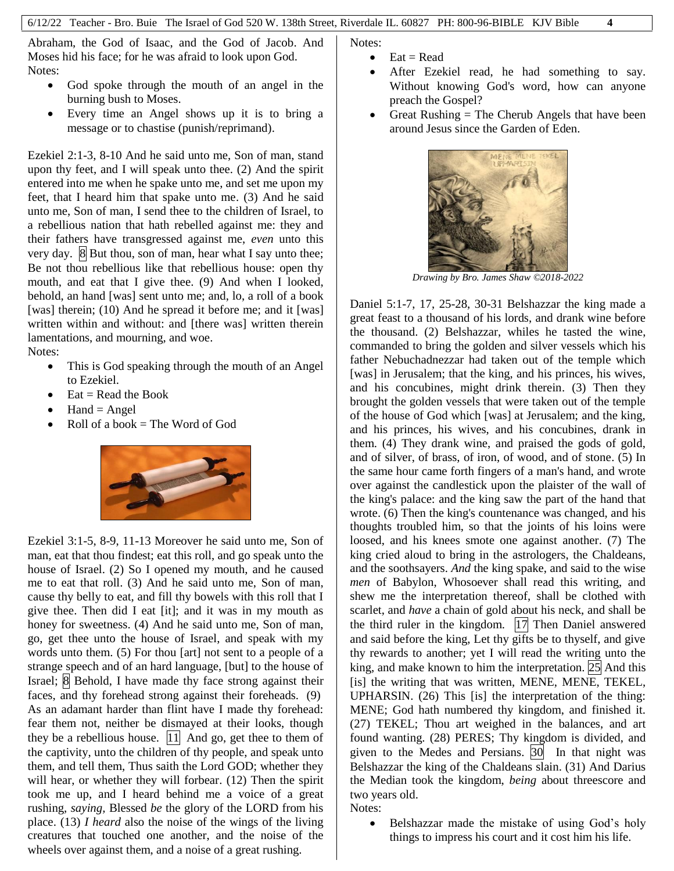Abraham, the God of Isaac, and the God of Jacob. And Moses hid his face; for he was afraid to look upon God. Notes:

- God spoke through the mouth of an angel in the burning bush to Moses.
- Every time an Angel shows up it is to bring a message or to chastise (punish/reprimand).

Ezekiel 2:1-3, 8-10 And he said unto me, Son of man, stand upon thy feet, and I will speak unto thee. (2) And the spirit entered into me when he spake unto me, and set me upon my feet, that I heard him that spake unto me. (3) And he said unto me, Son of man, I send thee to the children of Israel, to a rebellious nation that hath rebelled against me: they and their fathers have transgressed against me, *even* unto this very day. **8** But thou, son of man, hear what I say unto thee; Be not thou rebellious like that rebellious house: open thy mouth, and eat that I give thee. (9) And when I looked, behold, an hand [was] sent unto me; and, lo, a roll of a book [was] therein; (10) And he spread it before me; and it [was] written within and without: and [there was] written therein lamentations, and mourning, and woe.

Notes:

- This is God speaking through the mouth of an Angel to Ezekiel.
- $Eat = Read the Book$
- $Hand = Angel$
- Roll of a book  $=$  The Word of God



Ezekiel 3:1-5, 8-9, 11-13 Moreover he said unto me, Son of man, eat that thou findest; eat this roll, and go speak unto the house of Israel. (2) So I opened my mouth, and he caused me to eat that roll. (3) And he said unto me, Son of man, cause thy belly to eat, and fill thy bowels with this roll that I give thee. Then did I eat [it]; and it was in my mouth as honey for sweetness. (4) And he said unto me, Son of man, go, get thee unto the house of Israel, and speak with my words unto them. (5) For thou [art] not sent to a people of a strange speech and of an hard language, [but] to the house of Israel; 8 Behold, I have made thy face strong against their faces, and thy forehead strong against their foreheads. (9) As an adamant harder than flint have I made thy forehead: fear them not, neither be dismayed at their looks, though they be a rebellious house.  $|11|$  And go, get thee to them of the captivity, unto the children of thy people, and speak unto them, and tell them, Thus saith the Lord GOD; whether they will hear, or whether they will forbear. (12) Then the spirit took me up, and I heard behind me a voice of a great rushing, *saying,* Blessed *be* the glory of the LORD from his place. (13) *I heard* also the noise of the wings of the living creatures that touched one another, and the noise of the wheels over against them, and a noise of a great rushing.

Notes:

- $\bullet$  Eat = Read
- After Ezekiel read, he had something to say. Without knowing God's word, how can anyone preach the Gospel?
- Great Rushing  $=$  The Cherub Angels that have been around Jesus since the Garden of Eden.



*Drawing by Bro. James Shaw ©2018-2022*

Daniel 5:1-7, 17, 25-28, 30-31 Belshazzar the king made a great feast to a thousand of his lords, and drank wine before the thousand. (2) Belshazzar, whiles he tasted the wine, commanded to bring the golden and silver vessels which his father Nebuchadnezzar had taken out of the temple which [was] in Jerusalem; that the king, and his princes, his wives, and his concubines, might drink therein. (3) Then they brought the golden vessels that were taken out of the temple of the house of God which [was] at Jerusalem; and the king, and his princes, his wives, and his concubines, drank in them. (4) They drank wine, and praised the gods of gold, and of silver, of brass, of iron, of wood, and of stone. (5) In the same hour came forth fingers of a man's hand, and wrote over against the candlestick upon the plaister of the wall of the king's palace: and the king saw the part of the hand that wrote. (6) Then the king's countenance was changed, and his thoughts troubled him, so that the joints of his loins were loosed, and his knees smote one against another. (7) The king cried aloud to bring in the astrologers, the Chaldeans, and the soothsayers. *And* the king spake, and said to the wise *men* of Babylon, Whosoever shall read this writing, and shew me the interpretation thereof, shall be clothed with scarlet, and *have* a chain of gold about his neck, and shall be the third ruler in the kingdom.  $|17|$  Then Daniel answered and said before the king, Let thy gifts be to thyself, and give thy rewards to another; yet I will read the writing unto the king, and make known to him the interpretation. 25 And this [is] the writing that was written, MENE, MENE, TEKEL, UPHARSIN. (26) This [is] the interpretation of the thing: MENE; God hath numbered thy kingdom, and finished it. (27) TEKEL; Thou art weighed in the balances, and art found wanting. (28) PERES; Thy kingdom is divided, and given to the Medes and Persians. 30 In that night was Belshazzar the king of the Chaldeans slain. (31) And Darius the Median took the kingdom, *being* about threescore and two years old.

Notes:

 Belshazzar made the mistake of using God's holy things to impress his court and it cost him his life.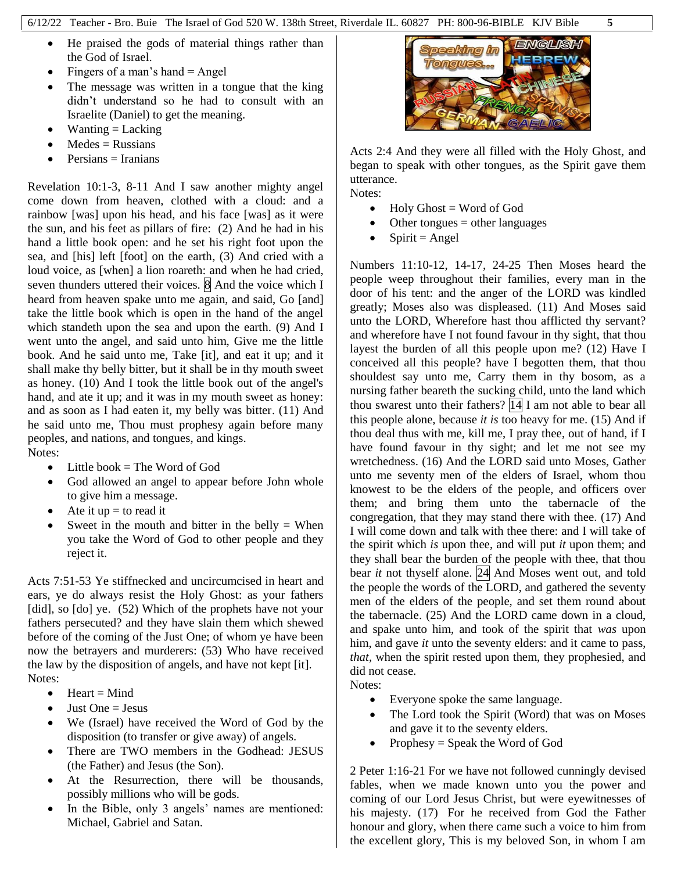- He praised the gods of material things rather than the God of Israel.
- Fingers of a man's hand  $=$  Angel
- The message was written in a tongue that the king didn't understand so he had to consult with an Israelite (Daniel) to get the meaning.
- $\bullet$  Wanting = Lacking
- $\bullet$  Medes = Russians
- Persians = Iranians

Revelation 10:1-3, 8-11 And I saw another mighty angel come down from heaven, clothed with a cloud: and a rainbow [was] upon his head, and his face [was] as it were the sun, and his feet as pillars of fire: (2) And he had in his hand a little book open: and he set his right foot upon the sea, and [his] left [foot] on the earth, (3) And cried with a loud voice, as [when] a lion roareth: and when he had cried, seven thunders uttered their voices.  $\boxed{8}$  And the voice which I heard from heaven spake unto me again, and said, Go [and] take the little book which is open in the hand of the angel which standeth upon the sea and upon the earth. (9) And I went unto the angel, and said unto him, Give me the little book. And he said unto me, Take [it], and eat it up; and it shall make thy belly bitter, but it shall be in thy mouth sweet as honey. (10) And I took the little book out of the angel's hand, and ate it up; and it was in my mouth sweet as honey: and as soon as I had eaten it, my belly was bitter. (11) And he said unto me, Thou must prophesy again before many peoples, and nations, and tongues, and kings. Notes:

- $\bullet$  Little book = The Word of God
- God allowed an angel to appear before John whole to give him a message.
- Ate it  $up = to read it$
- Sweet in the mouth and bitter in the belly  $=$  When you take the Word of God to other people and they reject it.

Acts 7:51-53 Ye stiffnecked and uncircumcised in heart and ears, ye do always resist the Holy Ghost: as your fathers [did], so [do] ye. (52) Which of the prophets have not your fathers persecuted? and they have slain them which shewed before of the coming of the Just One; of whom ye have been now the betrayers and murderers: (53) Who have received the law by the disposition of angels, and have not kept [it]. Notes:

- $\bullet$  Heart = Mind
- $\bullet$  Just One = Jesus
- We (Israel) have received the Word of God by the disposition (to transfer or give away) of angels.
- There are TWO members in the Godhead: JESUS (the Father) and Jesus (the Son).
- At the Resurrection, there will be thousands, possibly millions who will be gods.
- In the Bible, only 3 angels' names are mentioned: Michael, Gabriel and Satan.



Acts 2:4 And they were all filled with the Holy Ghost, and began to speak with other tongues, as the Spirit gave them utterance. Notes:

- $\bullet$  Holy Ghost = Word of God
- Other tongues = other languages
- $\bullet$  Spirit = Angel

Numbers 11:10-12, 14-17, 24-25 Then Moses heard the people weep throughout their families, every man in the door of his tent: and the anger of the LORD was kindled greatly; Moses also was displeased. (11) And Moses said unto the LORD, Wherefore hast thou afflicted thy servant? and wherefore have I not found favour in thy sight, that thou layest the burden of all this people upon me? (12) Have I conceived all this people? have I begotten them, that thou shouldest say unto me, Carry them in thy bosom, as a nursing father beareth the sucking child, unto the land which thou swarest unto their fathers?  $\boxed{14}$  I am not able to bear all this people alone, because *it is* too heavy for me. (15) And if thou deal thus with me, kill me, I pray thee, out of hand, if I have found favour in thy sight; and let me not see my wretchedness. (16) And the LORD said unto Moses, Gather unto me seventy men of the elders of Israel, whom thou knowest to be the elders of the people, and officers over them; and bring them unto the tabernacle of the congregation, that they may stand there with thee. (17) And I will come down and talk with thee there: and I will take of the spirit which *is* upon thee, and will put *it* upon them; and they shall bear the burden of the people with thee, that thou bear *it* not thyself alone. 24 And Moses went out, and told the people the words of the LORD, and gathered the seventy men of the elders of the people, and set them round about the tabernacle. (25) And the LORD came down in a cloud, and spake unto him, and took of the spirit that *was* upon him, and gave *it* unto the seventy elders: and it came to pass, *that,* when the spirit rested upon them, they prophesied, and did not cease. Notes:

- Everyone spoke the same language.
- The Lord took the Spirit (Word) that was on Moses and gave it to the seventy elders.
- Prophesy = Speak the Word of God

2 Peter 1:16-21 For we have not followed cunningly devised fables, when we made known unto you the power and coming of our Lord Jesus Christ, but were eyewitnesses of his majesty. (17) For he received from God the Father honour and glory, when there came such a voice to him from the excellent glory, This is my beloved Son, in whom I am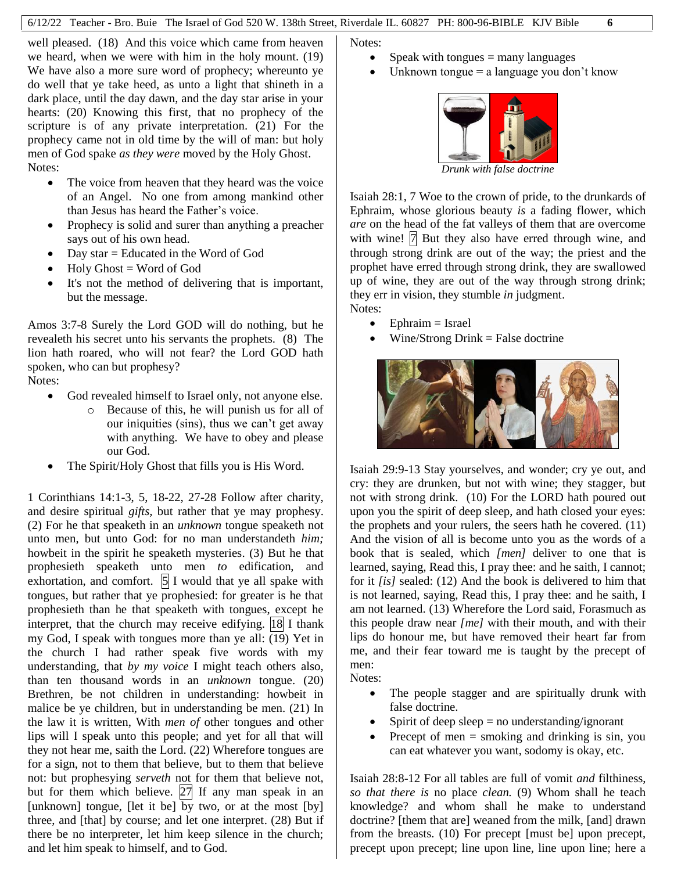well pleased. (18) And this voice which came from heaven we heard, when we were with him in the holy mount. (19) We have also a more sure word of prophecy; whereunto ye do well that ye take heed, as unto a light that shineth in a dark place, until the day dawn, and the day star arise in your hearts: (20) Knowing this first, that no prophecy of the scripture is of any private interpretation. (21) For the prophecy came not in old time by the will of man: but holy men of God spake *as they were* moved by the Holy Ghost. Notes:

- The voice from heaven that they heard was the voice of an Angel. No one from among mankind other than Jesus has heard the Father's voice.
- Prophecy is solid and surer than anything a preacher says out of his own head.
- Day star = Educated in the Word of God
- $\bullet$  Holy Ghost = Word of God
- It's not the method of delivering that is important, but the message.

Amos 3:7-8 Surely the Lord GOD will do nothing, but he revealeth his secret unto his servants the prophets. (8) The lion hath roared, who will not fear? the Lord GOD hath spoken, who can but prophesy?

Notes:

- God revealed himself to Israel only, not anyone else.
	- o Because of this, he will punish us for all of our iniquities (sins), thus we can't get away with anything. We have to obey and please our God.
- The Spirit/Holy Ghost that fills you is His Word.

1 Corinthians 14:1-3, 5, 18-22, 27-28 Follow after charity, and desire spiritual *gifts,* but rather that ye may prophesy. (2) For he that speaketh in an *unknown* tongue speaketh not unto men, but unto God: for no man understandeth *him;* howbeit in the spirit he speaketh mysteries. (3) But he that prophesieth speaketh unto men *to* edification, and exhortation, and comfort.  $\begin{bmatrix} 5 \\ 1 \end{bmatrix}$  I would that ye all spake with tongues, but rather that ye prophesied: for greater is he that prophesieth than he that speaketh with tongues, except he interpret, that the church may receive edifying. <sup>18</sup> I thank my God, I speak with tongues more than ye all: (19) Yet in the church I had rather speak five words with my understanding, that *by my voice* I might teach others also, than ten thousand words in an *unknown* tongue. (20) Brethren, be not children in understanding: howbeit in malice be ye children, but in understanding be men. (21) In the law it is written, With *men of* other tongues and other lips will I speak unto this people; and yet for all that will they not hear me, saith the Lord. (22) Wherefore tongues are for a sign, not to them that believe, but to them that believe not: but prophesying *serveth* not for them that believe not, but for them which believe.  $|27|$  If any man speak in an [unknown] tongue, [let it be] by two, or at the most [by] three, and [that] by course; and let one interpret. (28) But if there be no interpreter, let him keep silence in the church; and let him speak to himself, and to God.

Notes:

- Speak with tongues  $=$  many languages
- Unknown tongue = a language you don't know



*Drunk with false doctrine*

Isaiah 28:1, 7 Woe to the crown of pride, to the drunkards of Ephraim, whose glorious beauty *is* a fading flower, which *are* on the head of the fat valleys of them that are overcome with wine!  $|7|$  But they also have erred through wine, and through strong drink are out of the way; the priest and the prophet have erred through strong drink, they are swallowed up of wine, they are out of the way through strong drink; they err in vision, they stumble *in* judgment. Notes:

- $\bullet$  Ephraim = Israel
- Wine/Strong Drink = False doctrine



Isaiah 29:9-13 Stay yourselves, and wonder; cry ye out, and cry: they are drunken, but not with wine; they stagger, but not with strong drink. (10) For the LORD hath poured out upon you the spirit of deep sleep, and hath closed your eyes: the prophets and your rulers, the seers hath he covered. (11) And the vision of all is become unto you as the words of a book that is sealed, which *[men]* deliver to one that is learned, saying, Read this, I pray thee: and he saith, I cannot; for it *[is]* sealed: (12) And the book is delivered to him that is not learned, saying, Read this, I pray thee: and he saith, I am not learned. (13) Wherefore the Lord said, Forasmuch as this people draw near *[me]* with their mouth, and with their lips do honour me, but have removed their heart far from me, and their fear toward me is taught by the precept of men:

Notes:

- The people stagger and are spiritually drunk with false doctrine.
- Spirit of deep sleep  $=$  no understanding/ignorant
- Precept of men  $=$  smoking and drinking is sin, you can eat whatever you want, sodomy is okay, etc.

Isaiah 28:8-12 For all tables are full of vomit *and* filthiness, *so that there is* no place *clean.* (9) Whom shall he teach knowledge? and whom shall he make to understand doctrine? [them that are] weaned from the milk, [and] drawn from the breasts. (10) For precept [must be] upon precept, precept upon precept; line upon line, line upon line; here a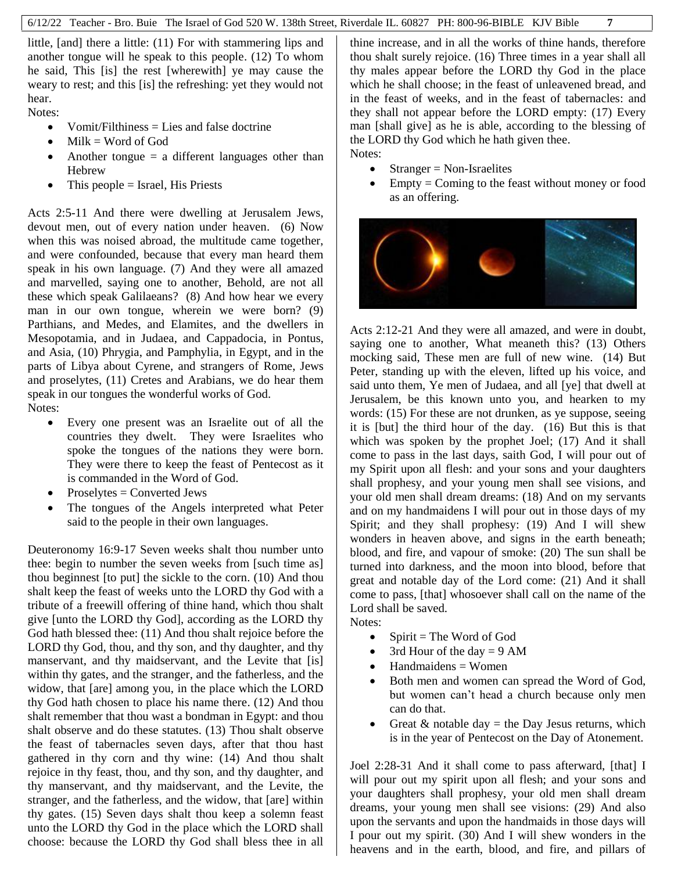little, [and] there a little: (11) For with stammering lips and another tongue will he speak to this people. (12) To whom he said, This [is] the rest [wherewith] ye may cause the weary to rest; and this [is] the refreshing: yet they would not hear.

Notes:

- Vomit/Filthiness = Lies and false doctrine
- $\bullet$  Milk = Word of God
- Another tongue  $=$  a different languages other than **Hebrew**
- $\bullet$  This people = Israel, His Priests

Acts 2:5-11 And there were dwelling at Jerusalem Jews, devout men, out of every nation under heaven. (6) Now when this was noised abroad, the multitude came together, and were confounded, because that every man heard them speak in his own language. (7) And they were all amazed and marvelled, saying one to another, Behold, are not all these which speak Galilaeans? (8) And how hear we every man in our own tongue, wherein we were born? (9) Parthians, and Medes, and Elamites, and the dwellers in Mesopotamia, and in Judaea, and Cappadocia, in Pontus, and Asia, (10) Phrygia, and Pamphylia, in Egypt, and in the parts of Libya about Cyrene, and strangers of Rome, Jews and proselytes, (11) Cretes and Arabians, we do hear them speak in our tongues the wonderful works of God. Notes:

- Every one present was an Israelite out of all the countries they dwelt. They were Israelites who spoke the tongues of the nations they were born. They were there to keep the feast of Pentecost as it is commanded in the Word of God.
- $\bullet$  Proselytes = Converted Jews
- The tongues of the Angels interpreted what Peter said to the people in their own languages.

Deuteronomy 16:9-17 Seven weeks shalt thou number unto thee: begin to number the seven weeks from [such time as] thou beginnest [to put] the sickle to the corn. (10) And thou shalt keep the feast of weeks unto the LORD thy God with a tribute of a freewill offering of thine hand, which thou shalt give [unto the LORD thy God], according as the LORD thy God hath blessed thee: (11) And thou shalt rejoice before the LORD thy God, thou, and thy son, and thy daughter, and thy manservant, and thy maidservant, and the Levite that [is] within thy gates, and the stranger, and the fatherless, and the widow, that [are] among you, in the place which the LORD thy God hath chosen to place his name there. (12) And thou shalt remember that thou wast a bondman in Egypt: and thou shalt observe and do these statutes. (13) Thou shalt observe the feast of tabernacles seven days, after that thou hast gathered in thy corn and thy wine: (14) And thou shalt rejoice in thy feast, thou, and thy son, and thy daughter, and thy manservant, and thy maidservant, and the Levite, the stranger, and the fatherless, and the widow, that [are] within thy gates. (15) Seven days shalt thou keep a solemn feast unto the LORD thy God in the place which the LORD shall choose: because the LORD thy God shall bless thee in all

thine increase, and in all the works of thine hands, therefore thou shalt surely rejoice. (16) Three times in a year shall all thy males appear before the LORD thy God in the place which he shall choose; in the feast of unleavened bread, and in the feast of weeks, and in the feast of tabernacles: and they shall not appear before the LORD empty: (17) Every man [shall give] as he is able, according to the blessing of the LORD thy God which he hath given thee. Notes:

- $\bullet$  Stranger = Non-Israelites
- $\bullet$  Empty = Coming to the feast without money or food as an offering.



Acts 2:12-21 And they were all amazed, and were in doubt, saying one to another, What meaneth this? (13) Others mocking said, These men are full of new wine. (14) But Peter, standing up with the eleven, lifted up his voice, and said unto them, Ye men of Judaea, and all [ye] that dwell at Jerusalem, be this known unto you, and hearken to my words: (15) For these are not drunken, as ye suppose, seeing it is [but] the third hour of the day. (16) But this is that which was spoken by the prophet Joel; (17) And it shall come to pass in the last days, saith God, I will pour out of my Spirit upon all flesh: and your sons and your daughters shall prophesy, and your young men shall see visions, and your old men shall dream dreams: (18) And on my servants and on my handmaidens I will pour out in those days of my Spirit; and they shall prophesy: (19) And I will shew wonders in heaven above, and signs in the earth beneath; blood, and fire, and vapour of smoke: (20) The sun shall be turned into darkness, and the moon into blood, before that great and notable day of the Lord come: (21) And it shall come to pass, [that] whosoever shall call on the name of the Lord shall be saved.

Notes:

- $\bullet$  Spirit = The Word of God
- 3rd Hour of the day  $= 9$  AM
- Handmaidens = Women
- Both men and women can spread the Word of God, but women can't head a church because only men can do that.
- Great  $&$  notable day = the Day Jesus returns, which is in the year of Pentecost on the Day of Atonement.

Joel 2:28-31 And it shall come to pass afterward, [that] I will pour out my spirit upon all flesh; and your sons and your daughters shall prophesy, your old men shall dream dreams, your young men shall see visions: (29) And also upon the servants and upon the handmaids in those days will I pour out my spirit. (30) And I will shew wonders in the heavens and in the earth, blood, and fire, and pillars of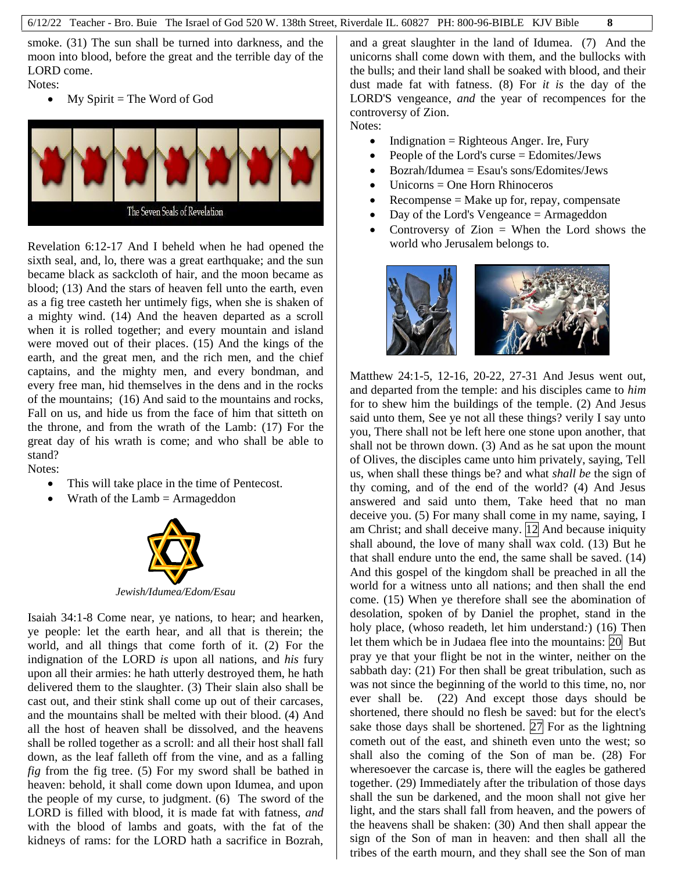smoke. (31) The sun shall be turned into darkness, and the moon into blood, before the great and the terrible day of the LORD come.

Notes:

 $\bullet$  My Spirit = The Word of God



Revelation 6:12-17 And I beheld when he had opened the sixth seal, and, lo, there was a great earthquake; and the sun became black as sackcloth of hair, and the moon became as blood; (13) And the stars of heaven fell unto the earth, even as a fig tree casteth her untimely figs, when she is shaken of a mighty wind. (14) And the heaven departed as a scroll when it is rolled together; and every mountain and island were moved out of their places. (15) And the kings of the earth, and the great men, and the rich men, and the chief captains, and the mighty men, and every bondman, and every free man, hid themselves in the dens and in the rocks of the mountains; (16) And said to the mountains and rocks, Fall on us, and hide us from the face of him that sitteth on the throne, and from the wrath of the Lamb: (17) For the great day of his wrath is come; and who shall be able to stand? Notes:

- This will take place in the time of Pentecost.
- Wrath of the Lamb  $=$  Armageddon



Isaiah 34:1-8 Come near, ye nations, to hear; and hearken, ye people: let the earth hear, and all that is therein; the world, and all things that come forth of it. (2) For the indignation of the LORD *is* upon all nations, and *his* fury upon all their armies: he hath utterly destroyed them, he hath delivered them to the slaughter. (3) Their slain also shall be cast out, and their stink shall come up out of their carcases, and the mountains shall be melted with their blood. (4) And all the host of heaven shall be dissolved, and the heavens shall be rolled together as a scroll: and all their host shall fall down, as the leaf falleth off from the vine, and as a falling *fig* from the fig tree. (5) For my sword shall be bathed in heaven: behold, it shall come down upon Idumea, and upon the people of my curse, to judgment. (6) The sword of the LORD is filled with blood, it is made fat with fatness, *and* with the blood of lambs and goats, with the fat of the kidneys of rams: for the LORD hath a sacrifice in Bozrah,

and a great slaughter in the land of Idumea. (7) And the unicorns shall come down with them, and the bullocks with the bulls; and their land shall be soaked with blood, and their dust made fat with fatness. (8) For *it is* the day of the LORD'S vengeance, *and* the year of recompences for the controversy of Zion.

Notes:

- $\bullet$  Indignation = Righteous Anger. Ire, Fury
- People of the Lord's curse  $=$  Edomites/Jews
- $\bullet$  Bozrah/Idumea = Esau's sons/Edomites/Jews
- Unicorns = One Horn Rhinoceros
- Recompense  $=$  Make up for, repay, compensate
- Day of the Lord's Vengeance = Armageddon
- Controversy of  $Zion =$  When the Lord shows the world who Jerusalem belongs to.



Matthew 24:1-5, 12-16, 20-22, 27-31 And Jesus went out, and departed from the temple: and his disciples came to *him* for to shew him the buildings of the temple. (2) And Jesus said unto them, See ye not all these things? verily I say unto you, There shall not be left here one stone upon another, that shall not be thrown down. (3) And as he sat upon the mount of Olives, the disciples came unto him privately, saying, Tell us, when shall these things be? and what *shall be* the sign of thy coming, and of the end of the world? (4) And Jesus answered and said unto them, Take heed that no man deceive you. (5) For many shall come in my name, saying, I am Christ; and shall deceive many. 12 And because iniquity shall abound, the love of many shall wax cold. (13) But he that shall endure unto the end, the same shall be saved. (14) And this gospel of the kingdom shall be preached in all the world for a witness unto all nations; and then shall the end come. (15) When ye therefore shall see the abomination of desolation, spoken of by Daniel the prophet, stand in the holy place, (whoso readeth, let him understand*:*) (16) Then let them which be in Judaea flee into the mountains: 20 But pray ye that your flight be not in the winter, neither on the sabbath day: (21) For then shall be great tribulation, such as was not since the beginning of the world to this time, no, nor ever shall be. (22) And except those days should be shortened, there should no flesh be saved: but for the elect's sake those days shall be shortened.  $27$  For as the lightning cometh out of the east, and shineth even unto the west; so shall also the coming of the Son of man be. (28) For wheresoever the carcase is, there will the eagles be gathered together. (29) Immediately after the tribulation of those days shall the sun be darkened, and the moon shall not give her light, and the stars shall fall from heaven, and the powers of the heavens shall be shaken: (30) And then shall appear the sign of the Son of man in heaven: and then shall all the tribes of the earth mourn, and they shall see the Son of man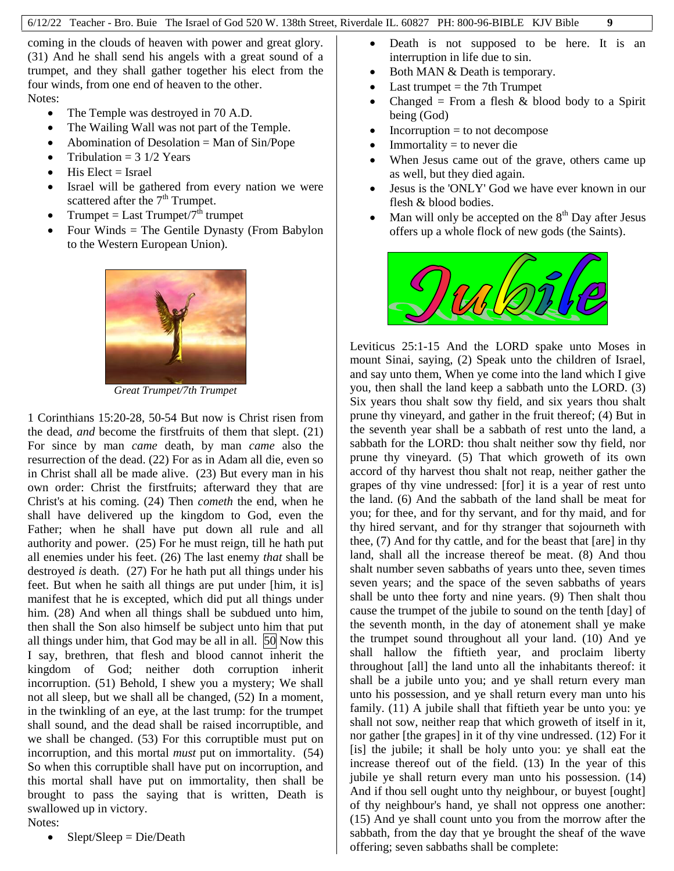coming in the clouds of heaven with power and great glory. (31) And he shall send his angels with a great sound of a trumpet, and they shall gather together his elect from the four winds, from one end of heaven to the other. Notes:

- The Temple was destroyed in 70 A.D.
- The Wailing Wall was not part of the Temple.
- $\bullet$  Abomination of Desolation = Man of Sin/Pope
- Tribulation  $= 3 \frac{1}{2}$  Years
- $\bullet$  His Elect = Israel
- Israel will be gathered from every nation we were scattered after the  $7<sup>th</sup>$  Trumpet.
- Trumpet = Last Trumpet/ $7^{\hat{\text{th}}}$  trumpet
- Four Winds = The Gentile Dynasty (From Babylon to the Western European Union).



*Great Trumpet/7th Trumpet*

1 Corinthians 15:20-28, 50-54 But now is Christ risen from the dead, *and* become the firstfruits of them that slept. (21) For since by man *came* death, by man *came* also the resurrection of the dead. (22) For as in Adam all die, even so in Christ shall all be made alive. (23) But every man in his own order: Christ the firstfruits; afterward they that are Christ's at his coming. (24) Then *cometh* the end, when he shall have delivered up the kingdom to God, even the Father; when he shall have put down all rule and all authority and power. (25) For he must reign, till he hath put all enemies under his feet. (26) The last enemy *that* shall be destroyed *is* death. (27) For he hath put all things under his feet. But when he saith all things are put under [him, it is] manifest that he is excepted, which did put all things under him.  $(28)$  And when all things shall be subdued unto him, then shall the Son also himself be subject unto him that put all things under him, that God may be all in all.  $\vert 50 \vert$  Now this I say, brethren, that flesh and blood cannot inherit the kingdom of God; neither doth corruption inherit incorruption. (51) Behold, I shew you a mystery; We shall not all sleep, but we shall all be changed, (52) In a moment, in the twinkling of an eye, at the last trump: for the trumpet shall sound, and the dead shall be raised incorruptible, and we shall be changed. (53) For this corruptible must put on incorruption, and this mortal *must* put on immortality. (54) So when this corruptible shall have put on incorruption, and this mortal shall have put on immortality, then shall be brought to pass the saying that is written, Death is swallowed up in victory.

Notes:

Slept/Sleep = Die/Death

- Death is not supposed to be here. It is an interruption in life due to sin.
- Both MAN & Death is temporary.
- Last trumpet  $=$  the 7th Trumpet
- Changed = From a flesh  $& blood body to a Spirit$ being (God)
- Incorruption = to not decompose
- $Immortality = to never die$
- When Jesus came out of the grave, others came up as well, but they died again.
- Jesus is the 'ONLY' God we have ever known in our flesh & blood bodies.
- Man will only be accepted on the  $8<sup>th</sup>$  Day after Jesus offers up a whole flock of new gods (the Saints).



Leviticus 25:1-15 And the LORD spake unto Moses in mount Sinai, saying, (2) Speak unto the children of Israel, and say unto them, When ye come into the land which I give you, then shall the land keep a sabbath unto the LORD. (3) Six years thou shalt sow thy field, and six years thou shalt prune thy vineyard, and gather in the fruit thereof; (4) But in the seventh year shall be a sabbath of rest unto the land, a sabbath for the LORD: thou shalt neither sow thy field, nor prune thy vineyard. (5) That which groweth of its own accord of thy harvest thou shalt not reap, neither gather the grapes of thy vine undressed: [for] it is a year of rest unto the land. (6) And the sabbath of the land shall be meat for you; for thee, and for thy servant, and for thy maid, and for thy hired servant, and for thy stranger that sojourneth with thee, (7) And for thy cattle, and for the beast that [are] in thy land, shall all the increase thereof be meat. (8) And thou shalt number seven sabbaths of years unto thee, seven times seven years; and the space of the seven sabbaths of years shall be unto thee forty and nine years. (9) Then shalt thou cause the trumpet of the jubile to sound on the tenth [day] of the seventh month, in the day of atonement shall ye make the trumpet sound throughout all your land. (10) And ye shall hallow the fiftieth year, and proclaim liberty throughout [all] the land unto all the inhabitants thereof: it shall be a jubile unto you; and ye shall return every man unto his possession, and ye shall return every man unto his family. (11) A jubile shall that fiftieth year be unto you: ye shall not sow, neither reap that which groweth of itself in it, nor gather [the grapes] in it of thy vine undressed. (12) For it [is] the jubile; it shall be holy unto you: ye shall eat the increase thereof out of the field. (13) In the year of this jubile ye shall return every man unto his possession. (14) And if thou sell ought unto thy neighbour, or buyest [ought] of thy neighbour's hand, ye shall not oppress one another: (15) And ye shall count unto you from the morrow after the sabbath, from the day that ye brought the sheaf of the wave offering; seven sabbaths shall be complete: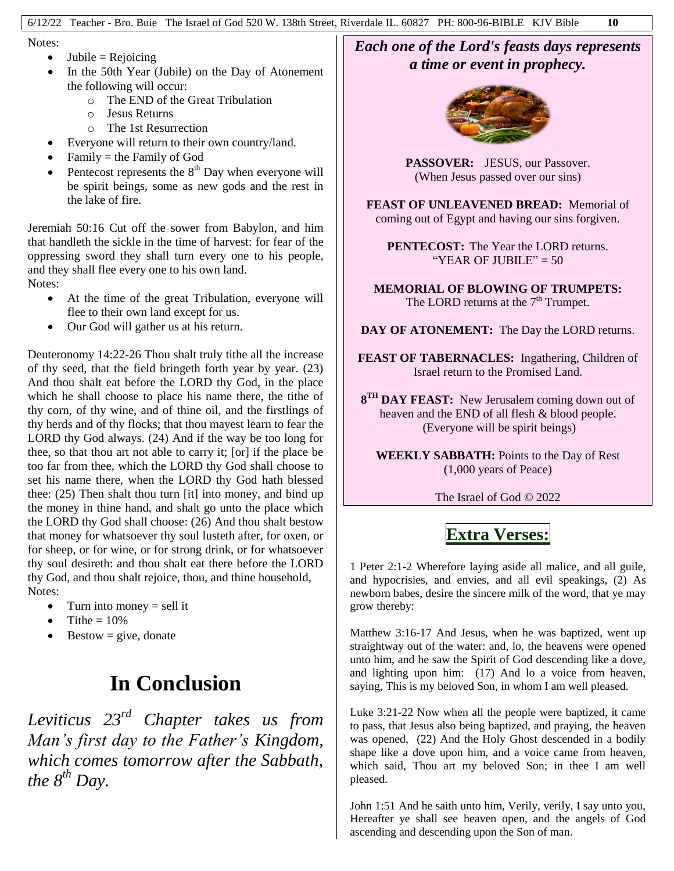Notes:

- $\bullet$  Jubile = Rejoicing
- In the 50th Year (Jubile) on the Day of Atonement the following will occur:
	- o The END of the Great Tribulation
	- o Jesus Returns
	- o The 1st Resurrection
- Everyone will return to their own country/land.
- $\bullet$  Family = the Family of God
- Pentecost represents the  $8<sup>th</sup>$  Day when everyone will be spirit beings, some as new gods and the rest in the lake of fire.

Jeremiah 50:16 Cut off the sower from Babylon, and him that handleth the sickle in the time of harvest: for fear of the oppressing sword they shall turn every one to his people, and they shall flee every one to his own land. Notes:

- At the time of the great Tribulation, everyone will flee to their own land except for us.
- Our God will gather us at his return.

Deuteronomy 14:22-26 Thou shalt truly tithe all the increase of thy seed, that the field bringeth forth year by year. (23) And thou shalt eat before the LORD thy God, in the place which he shall choose to place his name there, the tithe of thy corn, of thy wine, and of thine oil, and the firstlings of thy herds and of thy flocks; that thou mayest learn to fear the LORD thy God always. (24) And if the way be too long for thee, so that thou art not able to carry it; [or] if the place be too far from thee, which the LORD thy God shall choose to set his name there, when the LORD thy God hath blessed thee: (25) Then shalt thou turn [it] into money, and bind up the money in thine hand, and shalt go unto the place which the LORD thy God shall choose: (26) And thou shalt bestow that money for whatsoever thy soul lusteth after, for oxen, or for sheep, or for wine, or for strong drink, or for whatsoever thy soul desireth: and thou shalt eat there before the LORD thy God, and thou shalt rejoice, thou, and thine household, Notes:

- $\bullet$  Turn into money = sell it
- $\bullet$  Tithe = 10%
- $\bullet$  Bestow = give, donate

## **In Conclusion**

*Leviticus 23rd Chapter takes us from Man's first day to the Father's Kingdom, which comes tomorrow after the Sabbath, the*  $8^{th}$  *Day.* 

#### *Each one of the Lord's feasts days represents a time or event in prophecy.*



**PASSOVER:** JESUS, our Passover. (When Jesus passed over our sins)

**FEAST OF UNLEAVENED BREAD:** Memorial of coming out of Egypt and having our sins forgiven.

**PENTECOST:** The Year the LORD returns. "YEAR OF JUBILE"  $= 50$ 

**MEMORIAL OF BLOWING OF TRUMPETS:** The LORD returns at the  $7<sup>th</sup>$  Trumpet.

**DAY OF ATONEMENT:** The Day the LORD returns.

**FEAST OF TABERNACLES:** Ingathering, Children of Israel return to the Promised Land.

**8<sup>TH</sup> DAY FEAST:** New Jerusalem coming down out of heaven and the END of all flesh & blood people. (Everyone will be spirit beings)

**WEEKLY SABBATH:** Points to the Day of Rest (1,000 years of Peace)

The Israel of God © 2022

### **Extra Verses:**

1 Peter 2:1-2 Wherefore laying aside all malice, and all guile, and hypocrisies, and envies, and all evil speakings, (2) As newborn babes, desire the sincere milk of the word, that ye may grow thereby:

Matthew 3:16-17 And Jesus, when he was baptized, went up straightway out of the water: and, lo, the heavens were opened unto him, and he saw the Spirit of God descending like a dove, and lighting upon him: (17) And lo a voice from heaven, saying, This is my beloved Son, in whom I am well pleased.

Luke 3:21-22 Now when all the people were baptized, it came to pass, that Jesus also being baptized, and praying, the heaven was opened, (22) And the Holy Ghost descended in a bodily shape like a dove upon him, and a voice came from heaven, which said, Thou art my beloved Son; in thee I am well pleased.

John 1:51 And he saith unto him, Verily, verily, I say unto you, Hereafter ye shall see heaven open, and the angels of God ascending and descending upon the Son of man.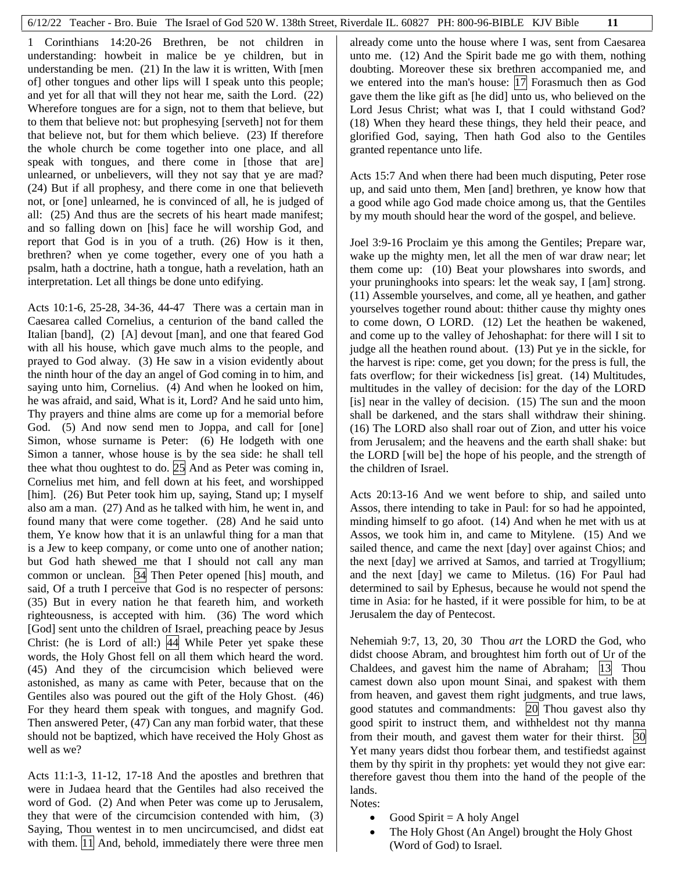1 Corinthians 14:20-26 Brethren, be not children in understanding: howbeit in malice be ye children, but in understanding be men. (21) In the law it is written, With [men of] other tongues and other lips will I speak unto this people; and yet for all that will they not hear me, saith the Lord. (22) Wherefore tongues are for a sign, not to them that believe, but to them that believe not: but prophesying [serveth] not for them that believe not, but for them which believe. (23) If therefore the whole church be come together into one place, and all speak with tongues, and there come in [those that are] unlearned, or unbelievers, will they not say that ye are mad? (24) But if all prophesy, and there come in one that believeth not, or [one] unlearned, he is convinced of all, he is judged of all: (25) And thus are the secrets of his heart made manifest; and so falling down on [his] face he will worship God, and report that God is in you of a truth. (26) How is it then, brethren? when ye come together, every one of you hath a psalm, hath a doctrine, hath a tongue, hath a revelation, hath an interpretation. Let all things be done unto edifying.

Acts 10:1-6, 25-28, 34-36, 44-47 There was a certain man in Caesarea called Cornelius, a centurion of the band called the Italian [band], (2) [A] devout [man], and one that feared God with all his house, which gave much alms to the people, and prayed to God alway. (3) He saw in a vision evidently about the ninth hour of the day an angel of God coming in to him, and saying unto him, Cornelius. (4) And when he looked on him, he was afraid, and said, What is it, Lord? And he said unto him, Thy prayers and thine alms are come up for a memorial before God. (5) And now send men to Joppa, and call for [one] Simon, whose surname is Peter: (6) He lodgeth with one Simon a tanner, whose house is by the sea side: he shall tell thee what thou oughtest to do. 25 And as Peter was coming in, Cornelius met him, and fell down at his feet, and worshipped [him]. (26) But Peter took him up, saying, Stand up; I myself also am a man. (27) And as he talked with him, he went in, and found many that were come together. (28) And he said unto them, Ye know how that it is an unlawful thing for a man that is a Jew to keep company, or come unto one of another nation; but God hath shewed me that I should not call any man common or unclean. 34 Then Peter opened [his] mouth, and said, Of a truth I perceive that God is no respecter of persons: (35) But in every nation he that feareth him, and worketh righteousness, is accepted with him. (36) The word which [God] sent unto the children of Israel, preaching peace by Jesus Christ: (he is Lord of all:) 44 While Peter yet spake these words, the Holy Ghost fell on all them which heard the word. (45) And they of the circumcision which believed were astonished, as many as came with Peter, because that on the Gentiles also was poured out the gift of the Holy Ghost. (46) For they heard them speak with tongues, and magnify God. Then answered Peter, (47) Can any man forbid water, that these should not be baptized, which have received the Holy Ghost as well as we?

Acts 11:1-3, 11-12, 17-18 And the apostles and brethren that were in Judaea heard that the Gentiles had also received the word of God. (2) And when Peter was come up to Jerusalem, they that were of the circumcision contended with him, (3) Saying, Thou wentest in to men uncircumcised, and didst eat with them. 11 And, behold, immediately there were three men

already come unto the house where I was, sent from Caesarea unto me. (12) And the Spirit bade me go with them, nothing doubting. Moreover these six brethren accompanied me, and we entered into the man's house: [17] Forasmuch then as God gave them the like gift as [he did] unto us, who believed on the Lord Jesus Christ; what was I, that I could withstand God? (18) When they heard these things, they held their peace, and glorified God, saying, Then hath God also to the Gentiles granted repentance unto life.

Acts 15:7 And when there had been much disputing, Peter rose up, and said unto them, Men [and] brethren, ye know how that a good while ago God made choice among us, that the Gentiles by my mouth should hear the word of the gospel, and believe.

Joel 3:9-16 Proclaim ye this among the Gentiles; Prepare war, wake up the mighty men, let all the men of war draw near; let them come up: (10) Beat your plowshares into swords, and your pruninghooks into spears: let the weak say, I [am] strong. (11) Assemble yourselves, and come, all ye heathen, and gather yourselves together round about: thither cause thy mighty ones to come down, O LORD. (12) Let the heathen be wakened, and come up to the valley of Jehoshaphat: for there will I sit to judge all the heathen round about. (13) Put ye in the sickle, for the harvest is ripe: come, get you down; for the press is full, the fats overflow; for their wickedness [is] great. (14) Multitudes, multitudes in the valley of decision: for the day of the LORD [is] near in the valley of decision. (15) The sun and the moon shall be darkened, and the stars shall withdraw their shining. (16) The LORD also shall roar out of Zion, and utter his voice from Jerusalem; and the heavens and the earth shall shake: but the LORD [will be] the hope of his people, and the strength of the children of Israel.

Acts 20:13-16 And we went before to ship, and sailed unto Assos, there intending to take in Paul: for so had he appointed, minding himself to go afoot. (14) And when he met with us at Assos, we took him in, and came to Mitylene. (15) And we sailed thence, and came the next [day] over against Chios; and the next [day] we arrived at Samos, and tarried at Trogyllium; and the next [day] we came to Miletus. (16) For Paul had determined to sail by Ephesus, because he would not spend the time in Asia: for he hasted, if it were possible for him, to be at Jerusalem the day of Pentecost.

Nehemiah 9:7, 13, 20, 30 Thou *art* the LORD the God, who didst choose Abram, and broughtest him forth out of Ur of the Chaldees, and gavest him the name of Abraham; 13 Thou camest down also upon mount Sinai, and spakest with them from heaven, and gavest them right judgments, and true laws, good statutes and commandments: 20 Thou gavest also thy good spirit to instruct them, and withheldest not thy manna from their mouth, and gavest them water for their thirst. 30 Yet many years didst thou forbear them, and testifiedst against them by thy spirit in thy prophets: yet would they not give ear: therefore gavest thou them into the hand of the people of the lands.

Notes:

- Good Spirit  $=$  A holy Angel
- The Holy Ghost (An Angel) brought the Holy Ghost (Word of God) to Israel.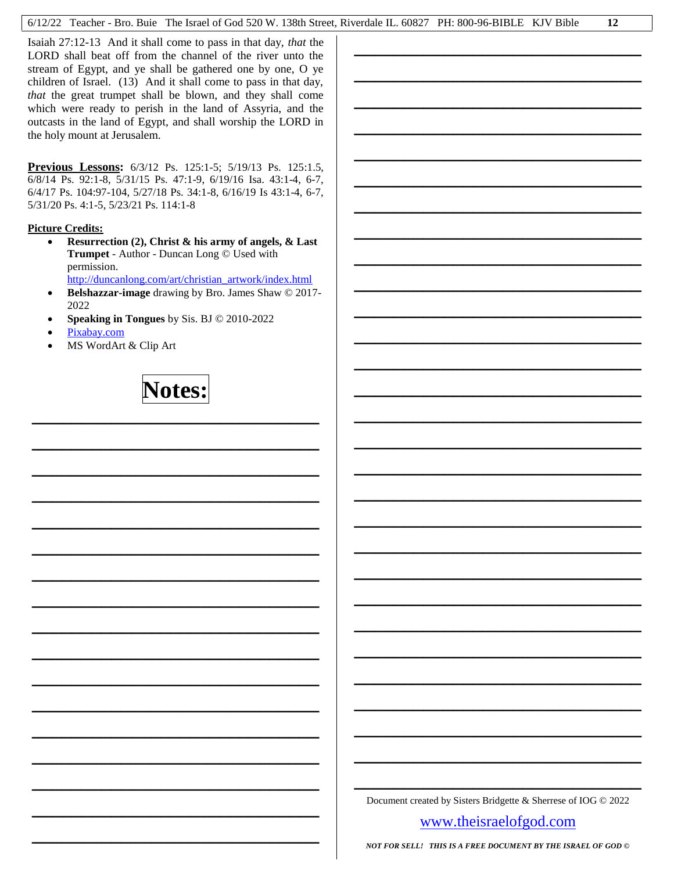Isaiah 27:12-13 And it shall come to pass in that day, *that* the LORD shall beat off from the channel of the river unto the stream of Egypt, and ye shall be gathered one by one, O ye children of Israel. (13) And it shall come to pass in that day, *that* the great trumpet shall be blown, and they shall come which were ready to perish in the land of Assyria, and the outcasts in the land of Egypt, and shall worship the LORD in the holy mount at Jerusalem.

**Previous Lessons:** 6/3/12 Ps. 125:1-5; 5/19/13 Ps. 125:1.5, 6/8/14 Ps. 92:1-8, 5/31/15 Ps. 47:1-9, 6/19/16 Isa. 43:1-4, 6-7, 6/4/17 Ps. 104:97-104, 5/27/18 Ps. 34:1-8, 6/16/19 Is 43:1-4, 6-7, 5/31/20 Ps. 4:1-5, 5/23/21 Ps. 114:1-8

#### **Picture Credits:**

- **Resurrection (2), Christ & his army of angels, & Last Trumpet** - Author - Duncan Long © Used with permission. [http://duncanlong.com/art/christian\\_artwork/index.html](http://duncanlong.com/art/christian_artwork/index.html)
- **Belshazzar-image** drawing by Bro. James Shaw © 2017- 2022
- **Speaking in Tongues** by Sis. BJ © 2010-2022
- [Pixabay.com](http://pixabay.com/)
- MS WordArt & Clip Art

**Notes:**

**\_\_\_\_\_\_\_\_\_\_\_\_\_\_\_\_\_\_\_\_\_\_\_\_\_\_\_\_\_**

**\_\_\_\_\_\_\_\_\_\_\_\_\_\_\_\_\_\_\_\_\_\_\_\_\_\_\_\_\_**

**\_\_\_\_\_\_\_\_\_\_\_\_\_\_\_\_\_\_\_\_\_\_\_\_\_\_\_\_\_**

**\_\_\_\_\_\_\_\_\_\_\_\_\_\_\_\_\_\_\_\_\_\_\_\_\_\_\_\_\_**

**\_\_\_\_\_\_\_\_\_\_\_\_\_\_\_\_\_\_\_\_\_\_\_\_\_\_\_\_\_**

**\_\_\_\_\_\_\_\_\_\_\_\_\_\_\_\_\_\_\_\_\_\_\_\_\_\_\_\_\_**

**\_\_\_\_\_\_\_\_\_\_\_\_\_\_\_\_\_\_\_\_\_\_\_\_\_\_\_\_\_**

**\_\_\_\_\_\_\_\_\_\_\_\_\_\_\_\_\_\_\_\_\_\_\_\_\_\_\_\_\_**

**\_\_\_\_\_\_\_\_\_\_\_\_\_\_\_\_\_\_\_\_\_\_\_\_\_\_\_\_\_**

**\_\_\_\_\_\_\_\_\_\_\_\_\_\_\_\_\_\_\_\_\_\_\_\_\_\_\_\_\_**

**\_\_\_\_\_\_\_\_\_\_\_\_\_\_\_\_\_\_\_\_\_\_\_\_\_\_\_\_\_**

**\_\_\_\_\_\_\_\_\_\_\_\_\_\_\_\_\_\_\_\_\_\_\_\_\_\_\_\_\_**

**\_\_\_\_\_\_\_\_\_\_\_\_\_\_\_\_\_\_\_\_\_\_\_\_\_\_\_\_\_**

**\_\_\_\_\_\_\_\_\_\_\_\_\_\_\_\_\_\_\_\_\_\_\_\_\_\_\_\_\_**

**\_\_\_\_\_\_\_\_\_\_\_\_\_\_\_\_\_\_\_\_\_\_\_\_\_\_\_\_\_**

**\_\_\_\_\_\_\_\_\_\_\_\_\_\_\_\_\_\_\_\_\_\_\_\_\_\_\_\_\_**

**\_\_\_\_\_\_\_\_\_\_\_\_\_\_\_\_\_\_\_\_\_\_\_\_\_\_\_\_\_**

**\_\_\_\_\_\_\_\_\_\_\_\_\_\_\_\_\_\_\_\_\_\_\_\_\_\_\_\_\_** Document created by Sisters Bridgette & Sherrese of IOG © 2022

**\_\_\_\_\_\_\_\_\_\_\_\_\_\_\_\_\_\_\_\_\_\_\_\_\_\_\_\_\_**

**\_\_\_\_\_\_\_\_\_\_\_\_\_\_\_\_\_\_\_\_\_\_\_\_\_\_\_\_\_**

**\_\_\_\_\_\_\_\_\_\_\_\_\_\_\_\_\_\_\_\_\_\_\_\_\_\_\_\_\_**

**\_\_\_\_\_\_\_\_\_\_\_\_\_\_\_\_\_\_\_\_\_\_\_\_\_\_\_\_\_**

**\_\_\_\_\_\_\_\_\_\_\_\_\_\_\_\_\_\_\_\_\_\_\_\_\_\_\_\_\_**

**\_\_\_\_\_\_\_\_\_\_\_\_\_\_\_\_\_\_\_\_\_\_\_\_\_\_\_\_\_**

**\_\_\_\_\_\_\_\_\_\_\_\_\_\_\_\_\_\_\_\_\_\_\_\_\_\_\_\_\_**

**\_\_\_\_\_\_\_\_\_\_\_\_\_\_\_\_\_\_\_\_\_\_\_\_\_\_\_\_\_**

**\_\_\_\_\_\_\_\_\_\_\_\_\_\_\_\_\_\_\_\_\_\_\_\_\_\_\_\_\_**

**\_\_\_\_\_\_\_\_\_\_\_\_\_\_\_\_\_\_\_\_\_\_\_\_\_\_\_\_\_**

**\_\_\_\_\_\_\_\_\_\_\_\_\_\_\_\_\_\_\_\_\_\_\_\_\_\_\_\_\_**

**\_\_\_\_\_\_\_\_\_\_\_\_\_\_\_\_\_\_\_\_\_\_\_\_\_\_\_\_\_**

**\_\_\_\_\_\_\_\_\_\_\_\_\_\_\_\_\_\_\_\_\_\_\_\_\_\_\_\_\_**

**\_\_\_\_\_\_\_\_\_\_\_\_\_\_\_\_\_\_\_\_\_\_\_\_\_\_\_\_\_**

**\_\_\_\_\_\_\_\_\_\_\_\_\_\_\_\_\_\_\_\_\_\_\_\_\_\_\_\_\_**

**\_\_\_\_\_\_\_\_\_\_\_\_\_\_\_\_\_\_\_\_\_\_\_\_\_\_\_\_\_**

**\_\_\_\_\_\_\_\_\_\_\_\_\_\_\_\_\_\_\_\_\_\_\_\_\_\_\_\_\_**

**\_\_\_\_\_\_\_\_\_\_\_\_\_\_\_\_\_\_\_\_\_\_\_\_\_\_\_\_\_**

**\_\_\_\_\_\_\_\_\_\_\_\_\_\_\_\_\_\_\_\_\_\_\_\_\_\_\_\_\_**

**\_\_\_\_\_\_\_\_\_\_\_\_\_\_\_\_\_\_\_\_\_\_\_\_\_\_\_\_\_**

**\_\_\_\_\_\_\_\_\_\_\_\_\_\_\_\_\_\_\_\_\_\_\_\_\_\_\_\_\_**

**\_\_\_\_\_\_\_\_\_\_\_\_\_\_\_\_\_\_\_\_\_\_\_\_\_\_\_\_\_**

**\_\_\_\_\_\_\_\_\_\_\_\_\_\_\_\_\_\_\_\_\_\_\_\_\_\_\_\_\_**

**\_\_\_\_\_\_\_\_\_\_\_\_\_\_\_\_\_\_\_\_\_\_\_\_\_\_\_\_\_**

**\_\_\_\_\_\_\_\_\_\_\_\_\_\_\_\_\_\_\_\_\_\_\_\_\_\_\_\_\_**

**\_\_\_\_\_\_\_\_\_\_\_\_\_\_\_\_\_\_\_\_\_\_\_\_\_\_\_\_\_**

**\_\_\_\_\_\_\_\_\_\_\_\_\_\_\_\_\_\_\_\_\_\_\_\_\_\_\_\_\_**

**\_\_\_\_\_\_\_\_\_\_\_\_\_\_\_\_\_\_\_\_\_\_\_\_\_\_\_\_\_**

[www.theisraelofgod.com](../../HIGH%20DAY%20LESSONS/www.theisraelofgod.com)

*NOT FOR SELL! THIS IS A FREE DOCUMENT BY THE ISRAEL OF GOD ©*